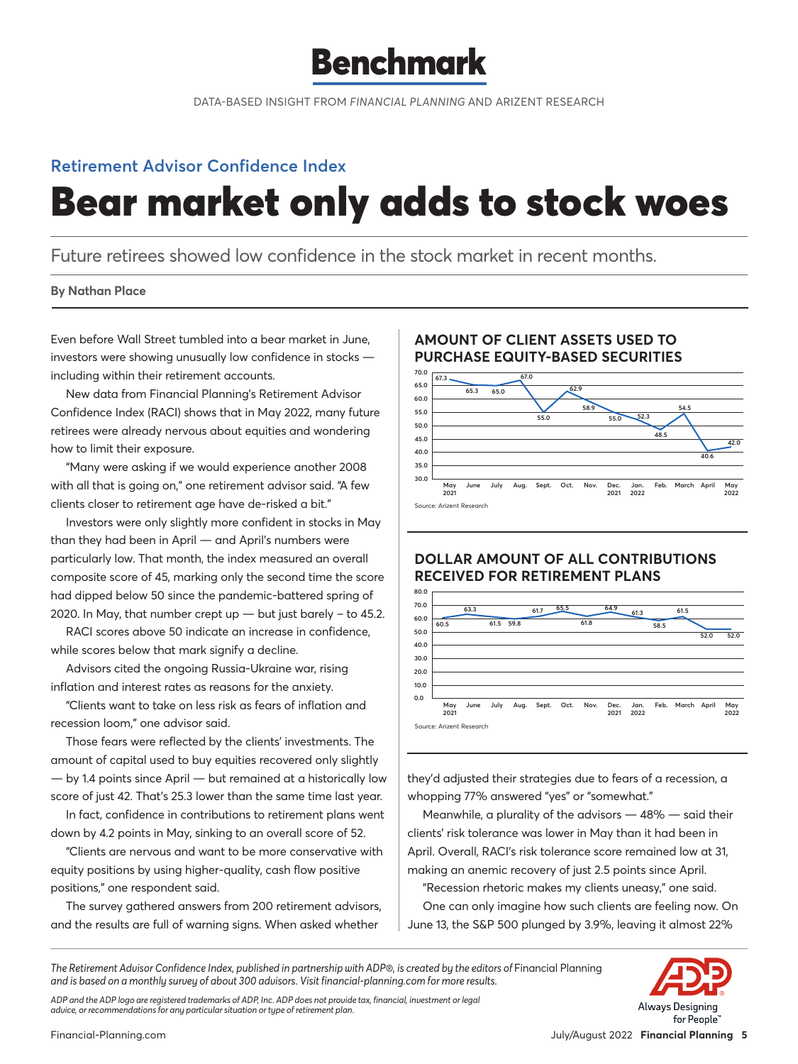

DATA-BASED INSIGHT FROM *FINANCIAL PLANNING* AND ARIZENT RESEARCH

# **Retirement Advisor Confidence Index**

# Bear market only adds to stock woes

Future retirees showed low confidence in the stock market in recent months.

#### **By Nathan Place**

Even before Wall Street tumbled into a bear market in June, investors were showing unusually low confidence in stocks including within their retirement accounts.

New data from Financial Planning's Retirement Advisor Confidence Index (RACI) shows that in May 2022, many future retirees were already nervous about equities and wondering how to limit their exposure.

"Many were asking if we would experience another 2008 with all that is going on," one retirement advisor said. "A few clients closer to retirement age have de-risked a bit."

Investors were only slightly more confident in stocks in May than they had been in April — and April's numbers were particularly low. That month, the index measured an overall composite score of 45, marking only the second time the score had dipped below 50 since the pandemic-battered spring of 2020. In May, that number crept up  $-$  but just barely  $-$  to 45.2.

RACI scores above 50 indicate an increase in confidence, while scores below that mark signify a decline.

Advisors cited the ongoing Russia-Ukraine war, rising inflation and interest rates as reasons for the anxiety.

"Clients want to take on less risk as fears of inflation and recession loom," one advisor said.

Those fears were reflected by the clients' investments. The amount of capital used to buy equities recovered only slightly — by 1.4 points since April — but remained at a historically low score of just 42. That's 25.3 lower than the same time last year.

In fact, confidence in contributions to retirement plans went down by 4.2 points in May, sinking to an overall score of 52.

"Clients are nervous and want to be more conservative with equity positions by using higher-quality, cash flow positive positions," one respondent said.

The survey gathered answers from 200 retirement advisors, and the results are full of warning signs. When asked whether

### **AMOUNT OF CLIENT ASSETS USED TO PURCHASE EQUITY-BASED SECURITIES**



## **DOLLAR AMOUNT OF ALL CONTRIBUTIONS RECEIVED FOR RETIREMENT PLANS**



they'd adjusted their strategies due to fears of a recession, a whopping 77% answered "yes" or "somewhat."

Meanwhile, a plurality of the advisors — 48% — said their clients' risk tolerance was lower in May than it had been in April. Overall, RACI's risk tolerance score remained low at 31, making an anemic recovery of just 2.5 points since April.

"Recession rhetoric makes my clients uneasy," one said. One can only imagine how such clients are feeling now. On June 13, the S&P 500 plunged by 3.9%, leaving it almost 22%

The Retirement Advisor Confidence Index, published in partnership with ADP®, is created by the editors of Financial Planning *and is based on a monthly survey of about 300 advisors. Visit financial-planning.com for more results.*



rs Desianina for People<sup>®</sup>

*ADP and the ADP logo are registered trademarks of ADP, Inc. ADP does not provide tax, financial, investment or legal advice, or recommendations for any particular situation or type of retirement plan.*

Financial-Planning.com July/August 2022 **Financial Planning 5**

Alwa